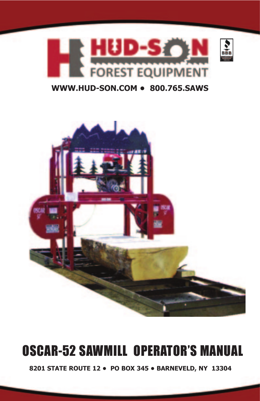

## **WWW.HUD-SON.COM • 800.765.SAWS**



# OSCAR-52 SAWMILL OPERATOR'S MANUAL

**8201 STATE ROUTE 12 • PO BOX 345 • BARNEVELD, NY 13304**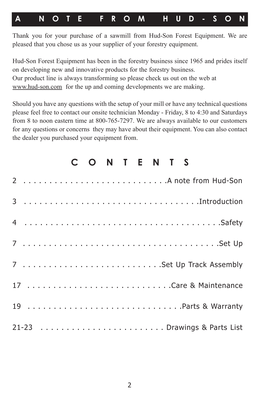## **A NOTE FROM HUD-SON**

Thank you for your purchase of a sawmill from Hud-Son Forest Equipment. We are pleased that you chose us as your supplier of your forestry equipment.

Hud-Son Forest Equipment has been in the forestry business since 1965 and prides itself on developing new and innovative products for the forestry business. Our product line is always transforming so please check us out on the web at www.hud-son.com for the up and coming developments we are making.

Should you have any questions with the setup of your mill or have any technical questions please feel free to contact our onsite technician Monday - Friday, 8 to 4:30 and Saturdays from 8 to noon eastern time at 800-765-7297. We are always available to our customers for any questions or concerns they may have about their equipment. You can also contact the dealer you purchased your equipment from.

|  | C O N T E N T S       |
|--|-----------------------|
|  |                       |
|  |                       |
|  |                       |
|  |                       |
|  |                       |
|  | 17 Care & Maintenance |
|  | 19 Parts & Warranty   |
|  |                       |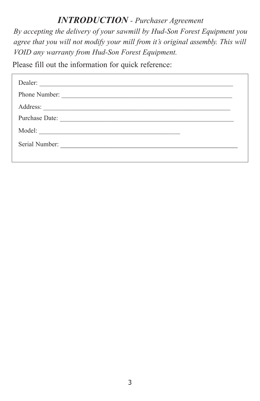## *INTRODUCTION - Purchaser Agreement*

*By accepting the delivery of your sawmill by Hud-Son Forest Equipment you agree that you will not modify your mill from it's original assembly. This will VOID any warranty from Hud-Son Forest Equipment.*

Please fill out the information for quick reference:

| Dealer:                                                                                                                                 |  |
|-----------------------------------------------------------------------------------------------------------------------------------------|--|
| Phone Number:                                                                                                                           |  |
|                                                                                                                                         |  |
| Purchase Date:                                                                                                                          |  |
| Model:                                                                                                                                  |  |
| Serial Number:<br><u> 1980 - Andrea Albert III, am bhliain 1980 - An t-Albert III, ann an t-Albert III, ann an t-Albert III, ann an</u> |  |
|                                                                                                                                         |  |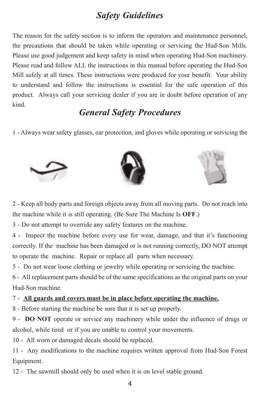## *Safety Guidelines*

The reason for the safety section is to inform the operators and maintenance personnel, the precautions that should be taken while operating or servicing the Hud-Son Mills. Please use good judgement and keep safety in mind when operating Hud-Son machinery. Please read and follow ALL the instructions in this manual before operating the Hud-Son Mill safely at all times. These instructions were produced for your benefit. Your ability to understand and follow the instructions is essential for the safe operation of this product. Always call your servicing dealer if you are in doubt before operation of any kind.

## *General Safety Procedures*

1 - Always wear safety glasses, ear protection, and gloves while operating or servicing the







2 - Keep all body parts and foreign objects away from all moving parts. Do not reach into the machine while it is still operating. (Be Sure The Machine Is **OFF**.)

3 - Do not attempt to override any safety features on the machine.

4 - Inspect the machine before every use for wear, damage, and that it's functioning correctly. If the machine has been damaged or is not running correctly, DO NOT attempt to operate the machine. Repair or replace all parts when necessary.

5 - Do not wear loose clothing or jewelry while operating or servicing the machine.

6 - All replacement parts should be of the same specifications as the original parts on your Hud-Son machine.

#### 7 - **All guards and covers must be in place before operating the machine.**

8 - Before starting the machine be sure that it is set up properly.

9 - **DO NOT** operate or service any machinery while under the influence of drugs or alcohol, while tired or if you are unable to control your movements.

10 - All worn or damaged decals should be replaced.

11 - Any modifications to the machine requires written approval from Hud-Son Forest Equipment.

12 - The sawmill should only be used when it is on level stable ground.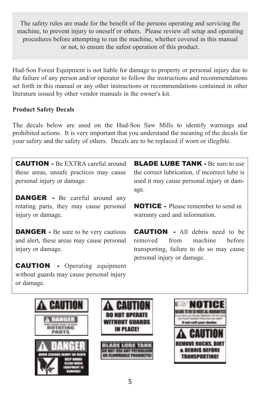The safety rules are made for the benefit of the persons operating and servicing the machine, to prevent injury to oneself or others. Please review all setup and operating procedures before attempting to run the machine, whether covered in this manual or not, to ensure the safest operation of this product.

Hud-Son Forest Equipment is not liable for damage to property or personal injury due to the failure of any person and/or operator to follow the instructions and recommendations set forth in this manual or any other instructions or recommendations contained in other literature issued by other vendor manuals in the owner's kit.

### **Product Safety Decals**

The decals below are used on the Hud-Son Saw Mills to identify warnings and prohibited actions. It is very important that you understand the meaning of the decals for your safety and the safety of others. Decals are to be replaced if worn or illegible.

CAUTION - Be EXTRA careful around these areas, unsafe practices may cause personal injury or damage.

**DANGER** - Be careful around any rotating parts, they may cause personal injury or damage.

**DANGER** - Be sure to be very cautious and alert, these areas may cause personal injury or damage.

**CAUTION** - Operating equipment without guards may cause personal injury or damage.

**BLADE LUBE TANK - Be sure to use** the correct lubrication, if incorrect lube is used it may cause personal injury or damage.

NOTICE - Please remember to send in warranty card and information.

**CAUTION** - All debris need to be removed from machine before transporting, failure to do so may cause personal injury or damage.





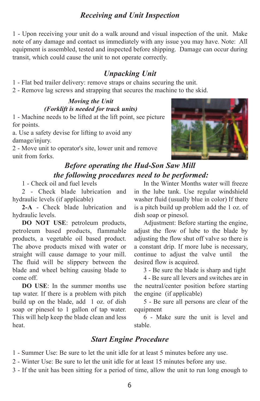## *Receiving and Unit Inspection*

1 - Upon receiving your unit do a walk around and visual inspection of the unit. Make note of any damage and contact us immediately with any issue you may have. Note: All equipment is assembled, tested and inspected before shipping. Damage can occur during transit, which could cause the unit to not operate correctly.

## *Unpacking Unit*

- 1 Flat bed trailer delivery: remove straps or chains securing the unit.
- 2 Remove lag screws and strapping that secures the machine to the skid.

## *Moving the Unit (Forklift is needed for track units)*

1 - Machine needs to be lifted at the lift point, see picture for points.

a. Use a safety devise for lifting to avoid any damage/injury.

2 - Move unit to operator's site, lower unit and remove unit from forks.

## *Before operating the Hud-Son Saw Mill the following procedures need to be performed:*

1 - Check oil and fuel levels

2 - Check blade lubrication and hydraulic levels (if applicable)

**2-A** - Check blade lubrication and hydraulic levels.

**DO NOT USE**: petroleum products, petroleum based products, flammable products, a vegetable oil based product. The above products mixed with water or straight will cause damage to your mill. The fluid will be slippery between the blade and wheel belting causing blade to come off.

**DO USE**: In the summer months use tap water. If there is a problem with pitch build up on the blade, add 1 oz. of dish soap or pinesol to 1 gallon of tap water. This will help keep the blade clean and less heat.

In the Winter Months water will freeze in the lube tank. Use regular windshield washer fluid (usually blue in color) If there is a pitch build up problem add the 1 oz. of dish soap or pinesol.

Adjustment: Before starting the engine, adjust the flow of lube to the blade by adjusting the flow shut off valve so there is a constant drip. If more lube is necessary, continue to adjust the valve until the desired flow is acquired.

3 - Be sure the blade is sharp and tight

4 - Be sure all levers and switches are in the neutral/center position before starting the engine (if applicable)

5 - Be sure all persons are clear of the equipment

6 - Make sure the unit is level and stable.

## *Start Engine Procedure*

1 - Summer Use: Be sure to let the unit idle for at least 5 minutes before any use.

2 - Winter Use: Be sure to let the unit idle for at least 15 minutes before any use.

3 - If the unit has been sitting for a period of time, allow the unit to run long enough to

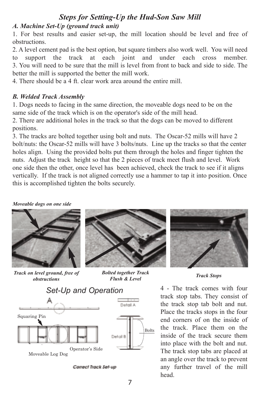## *Steps for Setting-Up the Hud-Son Saw Mill*

#### *A. Machine Set-Up (ground track unit)*

1. For best results and easier set-up, the mill location should be level and free of obstructions.

2. A level cement pad is the best option, but square timbers also work well. You will need to support the track at each joint and under each cross member. 3. You will need to be sure that the mill is level from front to back and side to side. The better the mill is supported the better the mill work.

4. There should be a 4 ft. clear work area around the entire mill.

#### *B. Welded Track Assembly*

1. Dogs needs to facing in the same direction, the moveable dogs need to be on the same side of the track which is on the operator's side of the mill head.

2. There are additional holes in the track so that the dogs can be moved to different positions.

3. The tracks are bolted together using bolt and nuts. The Oscar-52 mills will have 2 bolt/nuts: the Oscar-52 mills will have 3 bolts/nuts. Line up the tracks so that the center holes align. Using the provided bolts put them through the holes and finger tighten the nuts. Adjust the track height so that the 2 pieces of track meet flush and level. Work one side then the other, once level has been achieved, check the track to see if it aligns vertically. If the track is not aligned correctly use a hammer to tap it into position. Once this is accomplished tighten the bolts securely.

#### *Moveable dogs on one side*



*Track on level ground, free of obstructions*



*Bolted together Track Flush & Level*



Correct Track Set-up



*Track Stops*

4 - The track comes with four track stop tabs. They consist of the track stop tab bolt and nut. Place the tracks stops in the four end corners of on the inside of the track. Place them on the inside of the track secure them into place with the bolt and nut. The track stop tabs are placed at an angle over the track to prevent any further travel of the mill head.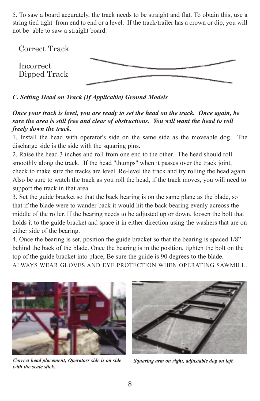5. To saw a board accurately, the track needs to be straight and flat. To obtain this, use a string tied tight from end to end or a level. If the track/trailer has a crown or dip, you will not be able to saw a straight board.



*C. Setting Head on Track (If Applicable) Ground Models* 

*Once your track is level, you are ready to set the head on the track. Once again, be sure the area is still free and clear of obstructions. You will want the head to roll freely down the track.* 

1. Install the head with operator's side on the same side as the moveable dog. The discharge side is the side with the squaring pins.

2. Raise the head 3 inches and roll from one end to the other. The head should roll smoothly along the track. If the head "thumps" when it passes over the track joint, check to make sure the tracks are level. Re-level the track and try rolling the head again. Also be sure to watch the track as you roll the head, if the track moves, you will need to support the track in that area.

3. Set the guide bracket so that the back bearing is on the same plane as the blade, so that if the blade were to wander back it would hit the back bearing evenly acreoss the middle of the roller. If the bearing needs to be adjusted up or down, loosen the bolt that holds it to the guide bracket and space it in either direction using the washers that are on either side of the bearing.

4. Once the bearing is set, position the guide bracket so that the bearing is spaced 1/8" behind the back of the blade. Once the bearing is in the position, tighten the bolt on the top of the guide bracket into place, Be sure the guide is 90 degrees to the blade. ALWAYS WEAR GLOVES AND EYE PROTECTION WHEN OPERATING SAWMILL.



*Correct head placement; Operators side is on side Squaring arm on right, adjustable dog on left. with the scale stick.*

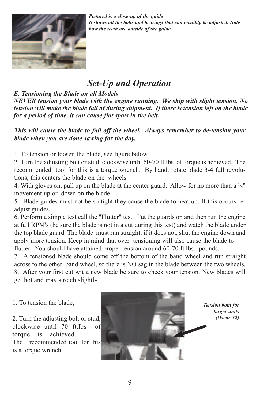

*Pictured is a close-up of the guide It shows all the bolts and bearings that can possibly be adjusted. Note how the teeth are outside of the guide.*

## *Set-Up and Operation*

*E. Tensioning the Blade on all Models* 

*NEVER tension your blade with the engine running. We ship with slight tension. No tension will make the blade fall of during shipment. If there is tension left on the blade for a period of time, it can cause flat spots in the belt.* 

*This will cause the blade to fall off the wheel. Always remember to de-tension your blade when you are done sawing for the day.* 

1. To tension or loosen the blade, see figure below.

2. Turn the adjusting bolt or stud, clockwise until 60-70 ft.lbs of torque is achieved. The recommended tool for this is a torque wrench. By hand, rotate blade 3-4 full revolutions; this centers the blade on the wheels.

4. With gloves on, pull up on the blade at the center guard. Allow for no more than a  $\frac{1}{4}$ " movement up or down on the blade.

5. Blade guides must not be so tight they cause the blade to heat up. If this occurs readjust guides.

6. Perform a simple test call the "Flutter" test. Put the guards on and then run the engine at full RPM's (be sure the blade is not in a cut during this test) and watch the blade under the top blade guard. The blade must run straight, if it does not, shut the engine down and apply more tension. Keep in mind that over tensioning will also cause the blade to flutter. You should have attained proper tension around 60-70 ft.lbs. pounds.

7. A tensioned blade should come off the bottom of the band wheel and run straight across to the other band wheel, so there is NO sag in the blade between the two wheels. 8. After your first cut wit a new blade be sure to check your tension. New blades will get hot and may stretch slightly.

1. To tension the blade,

2. Turn the adjusting bolt or stud, clockwise until 70 ft.lbs of torque is achieved. The recommended tool for this is a torque wrench.



*Tension boltt for larger units (Oscar-52)*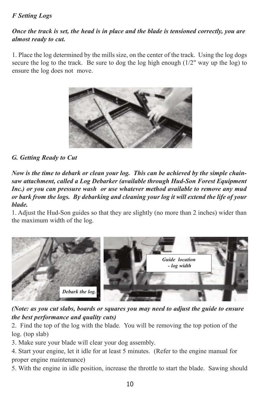### *F Setting Logs*

### *Once the track is set, the head is in place and the blade is tensioned correctly, you are almost ready to cut.*

1. Place the log determined by the mills size, on the center of the track. Using the log dogs secure the log to the track. Be sure to dog the log high enough  $(1/2)$ " way up the log) to ensure the log does not move.



#### *G. Getting Ready to Cut*

*Now is the time to debark or clean your log. This can be achieved by the simple chainsaw attachment, called a Log Debarker (available through Hud-Son Forest Equipment Inc.) or you can pressure wash or use whatever method available to remove any mud or bark from the logs. By debarking and cleaning your log it will extend the life of your blade.* 

1. Adjust the Hud-Son guides so that they are slightly (no more than 2 inches) wider than the maximum width of the log.



#### *(Note: as you cut slabs, boards or squares you may need to adjust the guide to ensure the best performance and quality cuts)*

2. Find the top of the log with the blade. You will be removing the top potion of the log. (top slab)

3. Make sure your blade will clear your dog assembly.

4. Start your engine, let it idle for at least 5 minutes. (Refer to the engine manual for proper engine maintenance)

5. With the engine in idle position, increase the throttle to start the blade. Sawing should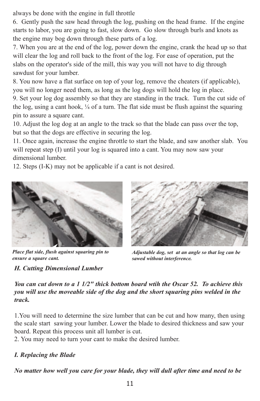always be done with the engine in full throttle

6. Gently push the saw head through the log, pushing on the head frame. If the engine starts to labor, you are going to fast, slow down. Go slow through burls and knots as the engine may bog down through these parts of a log.

7. When you are at the end of the log, power down the engine, crank the head up so that will clear the log and roll back to the front of the log. For ease of operation, put the slabs on the operator's side of the mill, this way you will not have to dig through sawdust for your lumber.

8. You now have a flat surface on top of your log, remove the cheaters (if applicable), you will no longer need them, as long as the log dogs will hold the log in place.

9. Set your log dog assembly so that they are standing in the track. Turn the cut side of the log, using a cant hook,  $\frac{1}{4}$  of a turn. The flat side must be flush against the squaring pin to assure a square cant.

10. Adjust the log dog at an angle to the track so that the blade can pass over the top, but so that the dogs are effective in securing the log.

11. Once again, increase the engine throttle to start the blade, and saw another slab. You will repeat step (I) until your log is squared into a cant. You may now saw your dimensional lumber.

12. Steps (I-K) may not be applicable if a cant is not desired.



*Place flat side, flush against squaring pin to ensure a square cant.*

## *H. Cutting Dimensional Lumber*



*Adjustable dog, set at an angle so that log can be sawed without interference.*

*You can cut down to a 1 1/2" thick bottom board wtih the Oscar 52. To achieve this you will use the moveable side of the dog and the short squaring pins welded in the track.* 

1.You will need to determine the size lumber that can be cut and how many, then using the scale start sawing your lumber. Lower the blade to desired thickness and saw your board. Repeat this process unit all lumber is cut.

2. You may need to turn your cant to make the desired lumber.

## *I. Replacing the Blade*

*No matter how well you care for your blade, they will dull after time and need to be*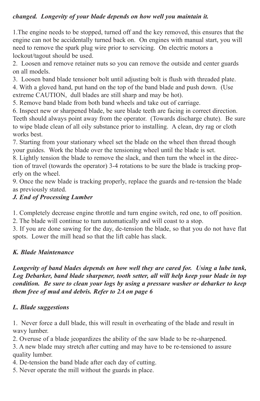### *changed. Longevity of your blade depends on how well you maintain it.*

1.The engine needs to be stopped, turned off and the key removed, this ensures that the engine can not be accidentally turned back on. On engines with manual start, you will need to remove the spark plug wire prior to servicing. On electric motors a lockout/tagout should be used.

2. Loosen and remove retainer nuts so you can remove the outside and center guards on all models.

3. Loosen band blade tensioner bolt until adjusting bolt is flush with threaded plate.

4. With a gloved hand, put hand on the top of the band blade and push down. (Use extreme CAUTION, dull blades are still sharp and may be hot).

5. Remove band blade from both band wheels and take out of carriage.

6. Inspect new or sharpened blade, be sure blade teeth are facing in correct direction. Teeth should always point away from the operator. (Towards discharge chute). Be sure to wipe blade clean of all oily substance prior to installing. A clean, dry rag or cloth works best.

7. Starting from your stationary wheel set the blade on the wheel then thread though your guides. Work the blade over the tensioning wheel until the blade is set.

8. Lightly tension the blade to remove the slack, and then turn the wheel in the direction of travel (towards the operator) 3-4 rotations to be sure the blade is tracking properly on the wheel.

9. Once the new blade is tracking properly, replace the guards and re-tension the blade as previously stated.

## *J. End of Processing Lumber*

1. Completely decrease engine throttle and turn engine switch, red one, to off position.

2. The blade will continue to turn automatically and will coast to a stop.

3. If you are done sawing for the day, de-tension the blade, so that you do not have flat spots. Lower the mill head so that the lift cable has slack.

## *K. Blade Maintenance*

*Longevity of band blades depends on how well they are cared for. Using a lube tank, Log Debarker, band blade sharpener, tooth setter, all will help keep your blade in top condition. Be sure to clean your logs by using a pressure washer or debarker to keep them free of mud and debris. Refer to 2A on page 6*

## *L. Blade suggestions*

1. Never force a dull blade, this will result in overheating of the blade and result in wavy lumber.

2. Overuse of a blade jeopardizes the ability of the saw blade to be re-sharpened.

3. A new blade may stretch after cutting and may have to be re-tensioned to assure quality lumber.

4. De-tension the band blade after each day of cutting.

5. Never operate the mill without the guards in place.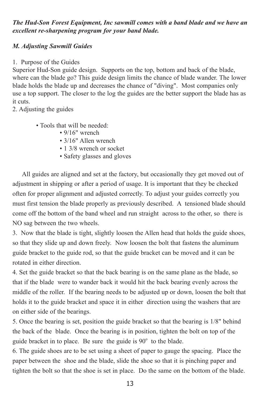*The Hud-Son Forest Equipment, Inc sawmill comes with a band blade and we have an excellent re-sharpening program for your band blade.*

#### *M. Adjusting Sawmill Guides*

1. Purpose of the Guides

Superior Hud-Son guide design. Supports on the top, bottom and back of the blade, where can the blade go? This guide design limits the chance of blade wander. The lower blade holds the blade up and decreases the chance of "diving". Most companies only use a top support. The closer to the log the guides are the better support the blade has as it cuts.

2. Adjusting the guides

• Tools that will be needed:

- 9/16" wrench
- 3/16" Allen wrench
- 1 3/8 wrench or socket
- Safety glasses and gloves

All guides are aligned and set at the factory, but occasionally they get moved out of adjustment in shipping or after a period of usage. It is important that they be checked often for proper alignment and adjusted correctly. To adjust your guides correctly you must first tension the blade properly as previously described. A tensioned blade should come off the bottom of the band wheel and run straight across to the other, so there is NO sag between the two wheels.

3. Now that the blade is tight, slightly loosen the Allen head that holds the guide shoes, so that they slide up and down freely. Now loosen the bolt that fastens the aluminum guide bracket to the guide rod, so that the guide bracket can be moved and it can be rotated in either direction.

4. Set the guide bracket so that the back bearing is on the same plane as the blade, so that if the blade were to wander back it would hit the back bearing evenly across the middle of the roller. If the bearing needs to be adjusted up or down, loosen the bolt that holds it to the guide bracket and space it in either direction using the washers that are on either side of the bearings.

5. Once the bearing is set, position the guide bracket so that the bearing is 1/8" behind the back of the blade. Once the bearing is in position, tighten the bolt on top of the guide bracket in to place. Be sure the guide is 90° to the blade.

6. The guide shoes are to be set using a sheet of paper to gauge the spacing. Place the paper between the shoe and the blade, slide the shoe so that it is pinching paper and tighten the bolt so that the shoe is set in place. Do the same on the bottom of the blade.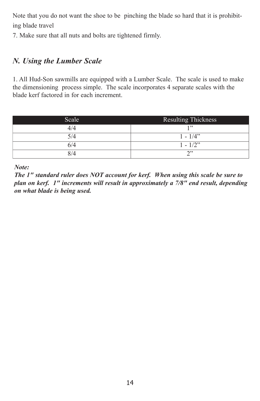Note that you do not want the shoe to be pinching the blade so hard that it is prohibiting blade travel

7. Make sure that all nuts and bolts are tightened firmly.

## *N. Using the Lumber Scale*

1. All Hud-Son sawmills are equipped with a Lumber Scale. The scale is used to make the dimensioning process simple. The scale incorporates 4 separate scales with the blade kerf factored in for each increment.

| Scale | <b>Resulting Thickness</b> |
|-------|----------------------------|
| 4/4   | 1, 99                      |
| 5/4   | $1 - 1/4$                  |
| 6/4   | $1 - 1/2$ "                |
| 8/4   | າ"                         |

*Note:* 

*The 1" standard ruler does NOT account for kerf. When using this scale be sure to plan on kerf. 1" increments will result in approximately a 7/8" end result, depending on what blade is being used.*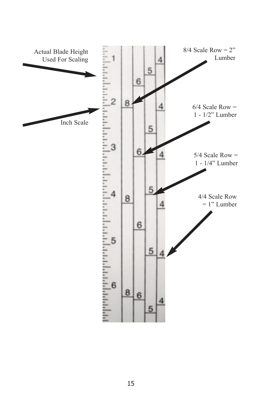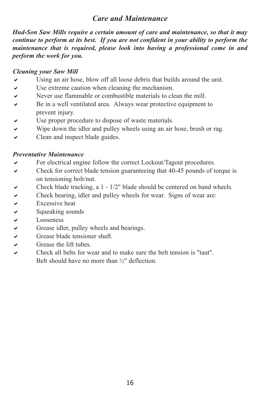## *Care and Maintenance*

*Hud-Son Saw Mills require a certain amount of care and maintenance, so that it may continue to perform at its best. If you are not confident in your ability to perform the maintenance that is required, please look into having a professional come in and perform the work for you.* 

#### *Cleaning your Saw Mill*

- $\vee$  Using an air hose, blow off all loose debris that builds around the unit.
- $\vee$  Use extreme caution when cleaning the mechanism.
- $\vee$  Never use flammable or combustible materials to clean the mill.
- $\vee$  Be in a well ventilated area. Always wear protective equipment to prevent injury.
- $\vee$  Use proper procedure to dispose of waste materials.
- $\vee$  Wipe down the idler and pulley wheels using an air hose, brush or rag.
- $\vee$  Clean and inspect blade guides.

#### *Preventative Maintenance*

- For electrical engine follow the correct Lockout/Tagout procedures.
- $\vee$  Check for correct blade tension guaranteeing that 40-45 pounds of torque is on tensioning bolt/nut.
- $\vee$  Check blade tracking, a 1 1/2" blade should be centered on band wheels.
- $\vee$  Check bearing, idler and pulley wheels for wear. Signs of wear are:
- $\vee$  Excessive heat
- $\vee$  Squeaking sounds
- 
- Grease idler, pulley wheels and bearings.
- ↓ Looseness<br>↓ Grease idle<br>↓ Grease bla Grease blade tensioner shaft.
- $\checkmark$  Grease the lift tubes.
- Check all belts for wear and to make sure the belt tension is "taut". Belt should have no more than ½" deflection.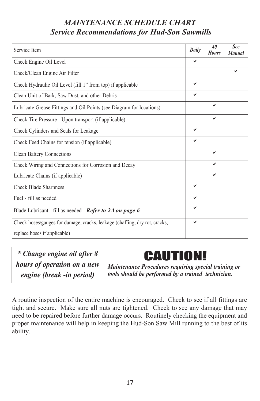## *MAINTENANCE SCHEDULE CHART Service Recommendations for Hud-Son Sawmills*

| Service Item                                                               | Daily | 40<br><b>Hours</b> | See<br><b>Manual</b> |
|----------------------------------------------------------------------------|-------|--------------------|----------------------|
| Check Engine Oil Level                                                     | ✔     |                    |                      |
| Check/Clean Engine Air Filter                                              |       |                    | ✓                    |
| Check Hydraulic Oil Level (fill 1" from top) if applicable                 | ✓     |                    |                      |
| Clean Unit of Bark, Saw Dust, and other Debris                             | ✓     |                    |                      |
| Lubricate Grease Fittings and Oil Points (see Diagram for locations)       |       | ✓                  |                      |
| Check Tire Pressure - Upon transport (if applicable)                       |       | ✓                  |                      |
| Check Cylinders and Seals for Leakage                                      | ✓     |                    |                      |
| Check Feed Chains for tension (if applicable)                              | ✓     |                    |                      |
| Clean Battery Connections                                                  |       | ✔                  |                      |
| Check Wiring and Connections for Corrosion and Decay                       |       | ✓                  |                      |
| Lubricate Chains (if applicable)                                           |       | ✓                  |                      |
| Check Blade Sharpness                                                      | ✓     |                    |                      |
| Fuel - fill as needed                                                      | ✔     |                    |                      |
| Blade Lubricant - fill as needed - Refer to 2A on page 6                   |       |                    |                      |
| Check hoses/gauges for damage, cracks, leakage (chaffing, dry rot, cracks, |       |                    |                      |
| replace hoses if applicable)                                               |       |                    |                      |

*\* Change engine oil after 8 hours of operation on a new engine (break -in period)*

## **CAUTION!**

*Maintenance Procedures requiring special training or tools should be performed by a trained technician.*

A routine inspection of the entire machine is encouraged. Check to see if all fittings are tight and secure. Make sure all nuts are tightened. Check to see any damage that may need to be repaired before further damage occurs. Routinely checking the equipment and proper maintenance will help in keeping the Hud-Son Saw Mill running to the best of its ability.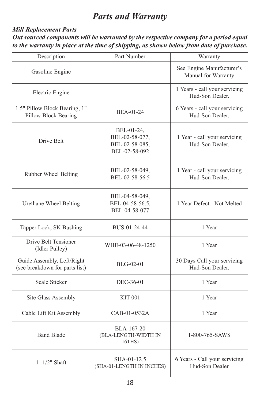## *Parts and Warranty*

### *Mill Replacement Parts Out sourced components will be warranted by the respective company for a period equal to the warranty in place at the time of shipping, as shown below from date of purchase.*

| Description                                                  | Part Number                                                     | Warranty                                         |
|--------------------------------------------------------------|-----------------------------------------------------------------|--------------------------------------------------|
| Gasoline Engine                                              |                                                                 | See Engine Manufacturer's<br>Manual for Warranty |
| Electric Engine                                              |                                                                 | 1 Years - call your servicing<br>Hud-Son Dealer. |
| 1.5" Pillow Block Bearing, 1"<br>Pillow Block Bearing        | BEA-01-24                                                       | 6 Years - call your servicing<br>Hud-Son Dealer. |
| Drive Belt                                                   | BEL-01-24,<br>BEL-02-58-077,<br>BEL-02-58-085,<br>BEL-02-58-092 | 1 Year - call your servicing<br>Hud-Son Dealer.  |
| Rubber Wheel Belting                                         | BEL-02-58-049,<br>BEL-02-58-56.5                                | 1 Year - call your servicing<br>Hud-Son Dealer.  |
| Urethane Wheel Belting                                       | BEL-04-58-049,<br>BEL-04-58-56.5,<br>BEL-04-58-077              | 1 Year Defect - Not Melted                       |
| Tapper Lock, SK Bushing                                      | BUS-01-24-44                                                    | 1 Year                                           |
| Drive Belt Tensioner<br>(Idler Pulley)                       | WHE-03-06-48-1250                                               | 1 Year                                           |
| Guide Assembly, Left/Right<br>(see breakdown for parts list) | BLG-02-01                                                       | 30 Days Call your servicing<br>Hud-Son Dealer.   |
| Scale Sticker                                                | DEC-36-01                                                       | 1 Year                                           |
| Site Glass Assembly                                          | <b>KIT-001</b>                                                  | 1 Year                                           |
| Cable Lift Kit Assembly                                      | CAB-01-0532A                                                    | 1 Year                                           |
| <b>Band Blade</b>                                            | BLA-167-20<br>(BLA-LENGTH-WIDTH IN<br>16THS                     | 1-800-765-SAWS                                   |
| $1 - 1/2$ " Shaft                                            | SHA-01-12.5<br>(SHA-01-LENGTH IN INCHES)                        | 6 Years - Call your servicing<br>Hud-Son Dealer  |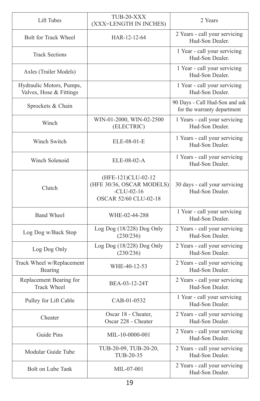| Lift Tubes                                          | TUB-20-XXX<br>(XXX=LENGTH IN INCHES)                                                     | 2 Years                                                       |
|-----------------------------------------------------|------------------------------------------------------------------------------------------|---------------------------------------------------------------|
| <b>Bolt for Track Wheel</b>                         | HAR-12-12-64                                                                             | 2 Years - call your servicing<br>Hud-Son Dealer.              |
| <b>Track Sections</b>                               |                                                                                          | 1 Year - call your servicing<br>Hud-Son Dealer.               |
| Axles (Trailer Models)                              |                                                                                          | 1 Year - call your servicing<br>Hud-Son Dealer.               |
| Hydraulic Motors, Pumps,<br>Valves, Hose & Fittings |                                                                                          | 1 Year - call your servicing<br>Hud-Son Dealer.               |
| Sprockets & Chain                                   |                                                                                          | 90 Days - Call Hud-Son and ask<br>for the warranty department |
| Winch                                               | WIN-01-2000, WIN-02-2500<br>(ELECTRIC)                                                   | 1 Years - call your servicing<br>Hud-Son Dealer.              |
| Winch Switch                                        | ELE-08-01-E                                                                              | 1 Years - call your servicing<br>Hud-Son Dealer.              |
| Winch Solenoid                                      | ELE-08-02-A                                                                              | 1 Years - call your servicing<br>Hud-Son Dealer.              |
| Clutch                                              | (HFE-121)CLU-02-12<br>(HFE 30/36, OSCAR MODELS)<br>$-CLU-02-16$<br>OSCAR 52/60 CLU-02-18 | 30 days - call your servicing<br>Hud-Son Dealer.              |
| <b>Band Wheel</b>                                   | WHE-02-44-288                                                                            | 1 Year - call your servicing<br>Hud-Son Dealer.               |
| Log Dog w/Back Stop                                 | Log Dog(18/228) Dog Only<br>(230/236)                                                    | 2 Years - call your servicing<br>Hud-Son Dealer.              |
| Log Dog Only                                        | Log Dog (18/228) Dog Only<br>(230/236)                                                   | 2 Years - call your servicing<br>Hud-Son Dealer.              |
| Track Wheel w/Replacement<br>Bearing                | WHE-40-12-53                                                                             | 2 Years - call your servicing<br>Hud-Son Dealer.              |
| Replacement Bearing for<br><b>Track Wheel</b>       | BEA-03-12-24T                                                                            | 2 Years - call your servicing<br>Hud-Son Dealer.              |
| Pulley for Lift Cable                               | CAB-01-0532                                                                              | 1 Year - call your servicing<br>Hud-Son Dealer.               |
| Cheater                                             | Oscar 18 - Cheater,<br>Oscar 228 - Cheater                                               | 2 Years - call your servicing<br>Hud-Son Dealer.              |
| Guide Pins                                          | MIL-10-0000-001                                                                          | 2 Years - call your servicing<br>Hud-Son Dealer.              |
| Modular Guide Tube                                  | TUB-20-09, TUB-20-20,<br>TUB-20-35                                                       | 2 Years - call your servicing<br>Hud-Son Dealer.              |
| Bolt on Lube Tank                                   | MIL-07-001                                                                               | 2 Years - call your servicing<br>Hud-Son Dealer.              |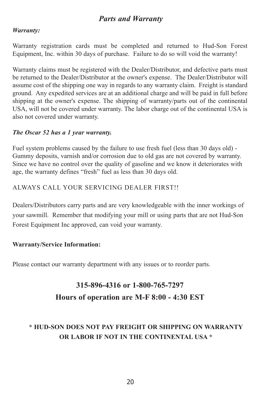## *Parts and Warranty*

#### *Warranty:*

Warranty registration cards must be completed and returned to Hud-Son Forest Equipment, Inc. within 30 days of purchase. Failure to do so will void the warranty!

Warranty claims must be registered with the Dealer/Distributor, and defective parts must be returned to the Dealer/Distributor at the owner's expense. The Dealer/Distributor will assume cost of the shipping one way in regards to any warranty claim. Freight is standard ground. Any expedited services are at an additional charge and will be paid in full before shipping at the owner's expense. The shipping of warranty/parts out of the continental USA, will not be covered under warranty. The labor charge out of the continental USA is also not covered under warranty.

#### *The Oscar 52 has a 1 year warranty.*

Fuel system problems caused by the failure to use fresh fuel (less than 30 days old) - Gummy deposits, varnish and/or corrosion due to old gas are not covered by warranty. Since we have no control over the quality of gasoline and we know it deteriorates with age, the warranty defines "fresh" fuel as less than 30 days old.

#### ALWAYS CALL YOUR SERVICING DEALER FIRST!!

Dealers/Distributors carry parts and are very knowledgeable with the inner workings of your sawmill. Remember that modifying your mill or using parts that are not Hud-Son Forest Equipment Inc approved, can void your warranty.

#### **Warranty/Service Information:**

Please contact our warranty department with any issues or to reorder parts.

## **315-896-4316 or 1-800-765-7297 Hours of operation are M-F 8:00 - 4:30 EST**

## **\* HUD-SON DOES NOT PAY FREIGHT OR SHIPPING ON WARRANTY OR LABOR IF NOT IN THE CONTINENTAL USA \***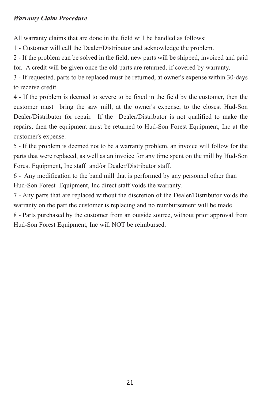#### *Warranty Claim Procedure*

All warranty claims that are done in the field will be handled as follows:

1 - Customer will call the Dealer/Distributor and acknowledge the problem.

2 - If the problem can be solved in the field, new parts will be shipped, invoiced and paid for. A credit will be given once the old parts are returned, if covered by warranty.

3 - If requested, parts to be replaced must be returned, at owner's expense within 30-days to receive credit.

4 - If the problem is deemed to severe to be fixed in the field by the customer, then the customer must bring the saw mill, at the owner's expense, to the closest Hud-Son Dealer/Distributor for repair. If the Dealer/Distributor is not qualified to make the repairs, then the equipment must be returned to Hud-Son Forest Equipment, Inc at the customer's expense.

5 - If the problem is deemed not to be a warranty problem, an invoice will follow for the parts that were replaced, as well as an invoice for any time spent on the mill by Hud-Son Forest Equipment, Inc staff and/or Dealer/Distributor staff.

6 - Any modification to the band mill that is performed by any personnel other than Hud-Son Forest Equipment, Inc direct staff voids the warranty.

7 - Any parts that are replaced without the discretion of the Dealer/Distributor voids the warranty on the part the customer is replacing and no reimbursement will be made.

8 - Parts purchased by the customer from an outside source, without prior approval from Hud-Son Forest Equipment, Inc will NOT be reimbursed.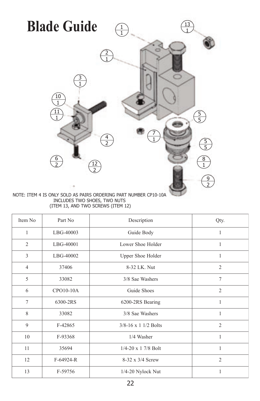

INCLUDES TWO SHOES, TWO NUTS (ITEM 13, AND TWO SCREWS (ITEM 12)

| Item No        | Part No       | Description                   | Qty.           |
|----------------|---------------|-------------------------------|----------------|
| 1              | LBG-40003     | Guide Body                    | 1              |
| 2              | LBG-40001     | Lower Shoe Holder             | 1              |
| 3              | LBG-40002     | Upper Shoe Holder             | 1              |
| $\overline{4}$ | 37406         | 8-32 LK. Nut                  | $\overline{2}$ |
| 5              | 33082         | 3/8 Sae Washers               | $\tau$         |
| 6              | CPO10-10A     | Guide Shoes                   | $\overline{2}$ |
| $\overline{7}$ | 6300-2RS      | 6200-2RS Bearing              | 1              |
| 8              | 33082         | 3/8 Sae Washers               | 1              |
| 9              | F-42865       | $3/8 - 16 \times 1$ 1/2 Bolts | $\overline{2}$ |
| 10             | F-93368       | 1/4 Washer                    | 1              |
| 11             | 35694         | $1/4 - 20 \times 1$ 7/8 Bolt  | 1              |
| 12             | $F-64924 - R$ | 8-32 x 3/4 Screw              | $\overline{2}$ |
| 13             | F-59756       | 1/4-20 Nylock Nut             | 1              |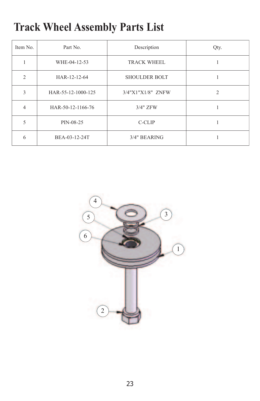## **Track Wheel Assembly Parts List**

| Item No.       | Part No.           | Description          | Qty. |
|----------------|--------------------|----------------------|------|
|                | WHE-04-12-53       | TRACK WHEEL          |      |
| $\mathfrak{D}$ | HAR-12-12-64       | <b>SHOULDER BOLT</b> |      |
| 3              | HAR-55-12-1000-125 | 3/4"X1"X1/8" ZNFW    | 2    |
|                | HAR-50-12-1166-76  | 3/4" ZFW             |      |
| 5              | PIN-08-25          | C-CLIP               |      |
| h              | BEA-03-12-24T      | 3/4" BEARING         |      |

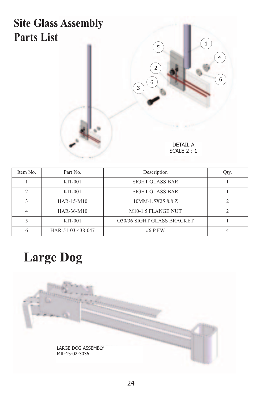## **Site Glass Assembly Parts List**



| Item No.      | Part No.          | Description                     | Qty. |
|---------------|-------------------|---------------------------------|------|
|               | $KIT-001$         | <b>SIGHT GLASS BAR</b>          |      |
| $\mathcal{P}$ | $KIT-001$         | SIGHT GLASS BAR                 |      |
| 3             | HAR-15-M10        | 10MM-1.5X25 8.8 Z               | ∍    |
| 4             | HAR-36-M10        | M <sub>10</sub> -1.5 FLANGE NUT |      |
|               | $KIT-001$         | 030/36 SIGHT GLASS BRACKET      |      |
| 6             | HAR-51-03-438-047 | $#6$ P FW                       |      |

# **Large Dog**

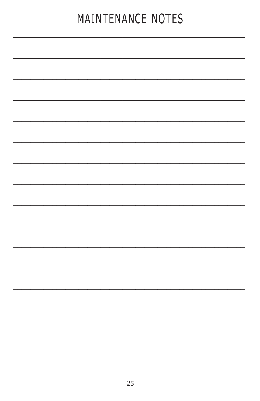# MAINTENANCE NOTES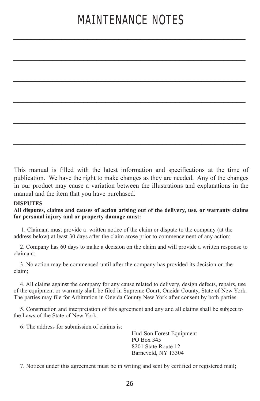# MAINTENANCE NOTES

 $\mathcal{L}_\text{max}$  , and the contract of the contract of the contract of the contract of the contract of the contract of

\_\_\_\_\_\_\_\_\_\_\_\_\_\_\_\_\_\_\_\_\_\_\_\_\_\_\_\_\_\_\_\_\_\_\_\_\_\_\_\_\_\_\_\_\_\_\_\_\_\_\_\_\_

 $\mathcal{L}_\text{max}$  , and the contract of the contract of the contract of the contract of the contract of the contract of

 $\mathcal{L}_\text{max}$  , and the contract of the contract of the contract of the contract of the contract of the contract of

\_\_\_\_\_\_\_\_\_\_\_\_\_\_\_\_\_\_\_\_\_\_\_\_\_\_\_\_\_\_\_\_\_\_\_\_\_\_\_\_\_\_\_\_\_\_\_\_\_\_\_\_\_

 $\mathcal{L}_\text{max}$  , and the contract of the contract of the contract of the contract of the contract of the contract of

This manual is filled with the latest information and specifications at the time of publication. We have the right to make changes as they are needed. Any of the changes in our product may cause a variation between the illustrations and explanations in the manual and the item that you have purchased.

#### **DISPUTES**

#### **All disputes, claims and causes of action arising out of the delivery, use, or warranty claims for personal injury and or property damage must:**

 1. Claimant must provide a written notice of the claim or dispute to the company (at the address below) at least 30 days after the claim arose prior to commencement of any action;

 2. Company has 60 days to make a decision on the claim and will provide a written response to claimant;

 3. No action may be commenced until after the company has provided its decision on the claim;

 4. All claims against the company for any cause related to delivery, design defects, repairs, use of the equipment or warranty shall be filed in Supreme Court, Oneida County, State of New York. The parties may file for Arbitration in Oneida County New York after consent by both parties.

 5. Construction and interpretation of this agreement and any and all claims shall be subject to the Laws of the State of New York.

6: The address for submission of claims is:

Hud-Son Forest Equipment PO Box 345 8201 State Route 12 Barneveld, NY 13304

7. Notices under this agreement must be in writing and sent by certified or registered mail;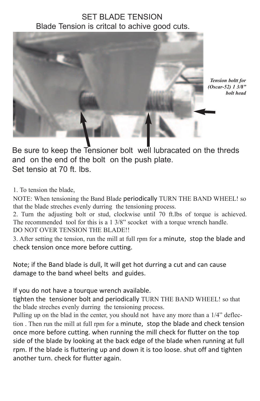## SET BLADE TENSION Blade Tension is critcal to achive good cuts.



*Tension boltt for (Oscar-52) 1 3/8" bolt head* 

Be sure to keep the Tensioner bolt well lubracated on the threds and on the end of the bolt on the push plate. Set tensio at 70 ft. lbs.

1. To tension the blade,

NOTE: When tensioning the Band Blade periodically TURN THE BAND WHEEL! so that the blade streches evenly durring the tensioning process.

2. Turn the adjusting bolt or stud, clockwise until 70 ft.lbs of torque is achieved. The recommended tool for this is a 1 3/8" scocket with a torque wrench handle.

DO NOT OVER TENSION THE BLADE!!

3. After setting the tension, run the mill at full rpm for a minute, stop the blade and check tension once more before cutting.

Note; if the Band blade is dull, It will get hot durring a cut and can cause damage to the band wheel belts and guides.

If you do not have a tourque wrench available.

tighten the tensioner bolt and periodically TURN THE BAND WHEEL! so that the blade streches evenly durring the tensioning process.

Pulling up on the blad in the center, you should not have any more than a 1/4" deflection . Then run the mill at full rpm for a minute, stop the blade and check tension once more before cutting. when running the mill check for flutter on the top side of the blade by looking at the back edge of the blade when running at full rpm. If the blade is fluttering up and down it is too loose. shut off and tighten another turn. check for flutter again.